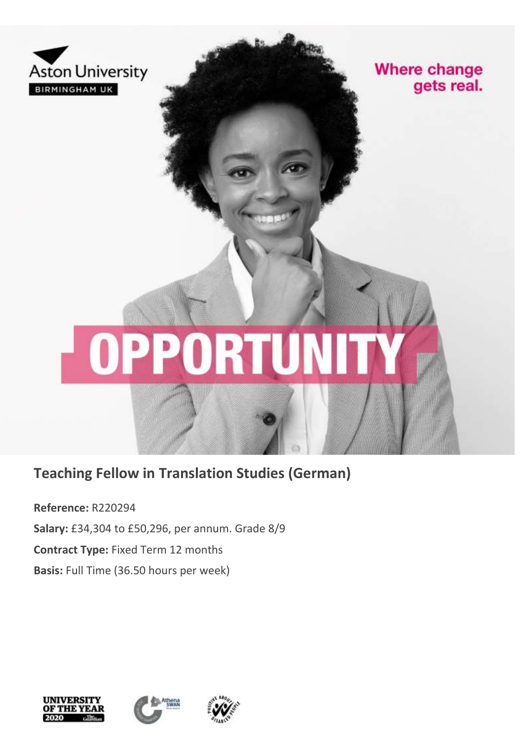

**Where change** gets real.

# **OPPORT**

**Teaching Fellow in Translation Studies (German)**

**Reference:** R220294 **Salary:** £34,304 to £50,296, per annum. Grade 8/9 **Contract Type:** Fixed Term 12 months **Basis:** Full Time (36.50 hours per week)





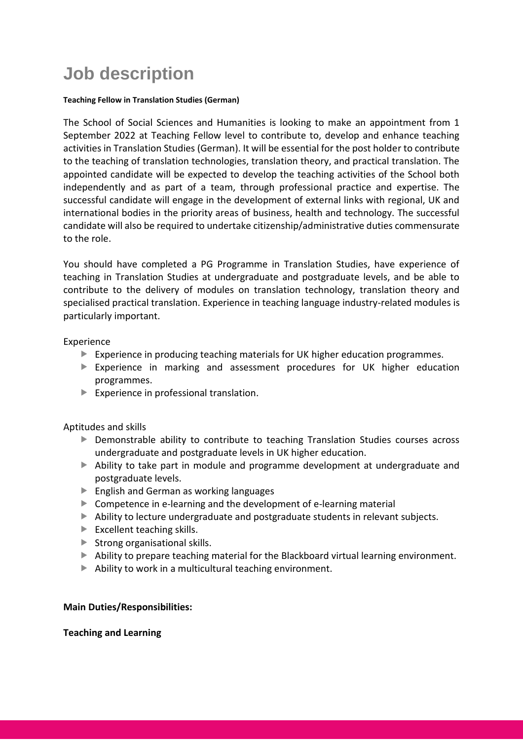# **Job description**

### **Teaching Fellow in Translation Studies (German)**

The School of Social Sciences and Humanities is looking to make an appointment from 1 September 2022 at Teaching Fellow level to contribute to, develop and enhance teaching activities in Translation Studies (German). It will be essential for the post holder to contribute to the teaching of translation technologies, translation theory, and practical translation. The appointed candidate will be expected to develop the teaching activities of the School both independently and as part of a team, through professional practice and expertise. The successful candidate will engage in the development of external links with regional, UK and international bodies in the priority areas of business, health and technology. The successful candidate will also be required to undertake citizenship/administrative duties commensurate to the role.

You should have completed a PG Programme in Translation Studies, have experience of teaching in Translation Studies at undergraduate and postgraduate levels, and be able to contribute to the delivery of modules on translation technology, translation theory and specialised practical translation. Experience in teaching language industry-related modules is particularly important.

# Experience

- Experience in producing teaching materials for UK higher education programmes.
- Experience in marking and assessment procedures for UK higher education programmes.
- $\blacktriangleright$  Experience in professional translation.

Aptitudes and skills

- Demonstrable ability to contribute to teaching Translation Studies courses across undergraduate and postgraduate levels in UK higher education.
- Ability to take part in module and programme development at undergraduate and postgraduate levels.
- ▶ English and German as working languages
- ▶ Competence in e-learning and the development of e-learning material
- Ability to lecture undergraduate and postgraduate students in relevant subjects.
- Excellent teaching skills.
- $\blacktriangleright$  Strong organisational skills.
- Ability to prepare teaching material for the Blackboard virtual learning environment.
- $\blacktriangleright$  Ability to work in a multicultural teaching environment.

# **Main Duties/Responsibilities:**

# **Teaching and Learning**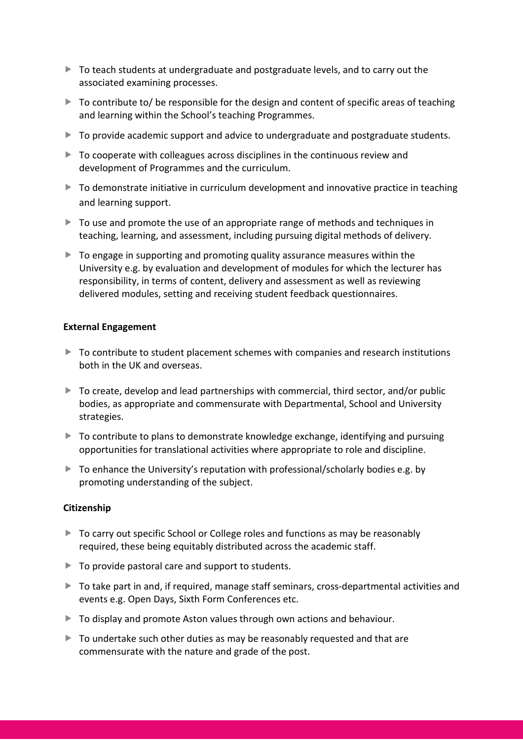- $\triangleright$  To teach students at undergraduate and postgraduate levels, and to carry out the associated examining processes.
- $\triangleright$  To contribute to/ be responsible for the design and content of specific areas of teaching and learning within the School's teaching Programmes.
- $\triangleright$  To provide academic support and advice to undergraduate and postgraduate students.
- To cooperate with colleagues across disciplines in the continuous review and development of Programmes and the curriculum.
- $\triangleright$  To demonstrate initiative in curriculum development and innovative practice in teaching and learning support.
- $\triangleright$  To use and promote the use of an appropriate range of methods and techniques in teaching, learning, and assessment, including pursuing digital methods of delivery.
- $\triangleright$  To engage in supporting and promoting quality assurance measures within the University e.g. by evaluation and development of modules for which the lecturer has responsibility, in terms of content, delivery and assessment as well as reviewing delivered modules, setting and receiving student feedback questionnaires.

# **External Engagement**

- $\triangleright$  To contribute to student placement schemes with companies and research institutions both in the UK and overseas.
- $\triangleright$  To create, develop and lead partnerships with commercial, third sector, and/or public bodies, as appropriate and commensurate with Departmental, School and University strategies.
- ▶ To contribute to plans to demonstrate knowledge exchange, identifying and pursuing opportunities for translational activities where appropriate to role and discipline.
- $\blacktriangleright$  To enhance the University's reputation with professional/scholarly bodies e.g. by promoting understanding of the subject.

# **Citizenship**

- $\triangleright$  To carry out specific School or College roles and functions as may be reasonably required, these being equitably distributed across the academic staff.
- $\blacktriangleright$  To provide pastoral care and support to students.
- ▶ To take part in and, if required, manage staff seminars, cross-departmental activities and events e.g. Open Days, Sixth Form Conferences etc.
- $\triangleright$  To display and promote Aston values through own actions and behaviour.
- ▶ To undertake such other duties as may be reasonably requested and that are commensurate with the nature and grade of the post.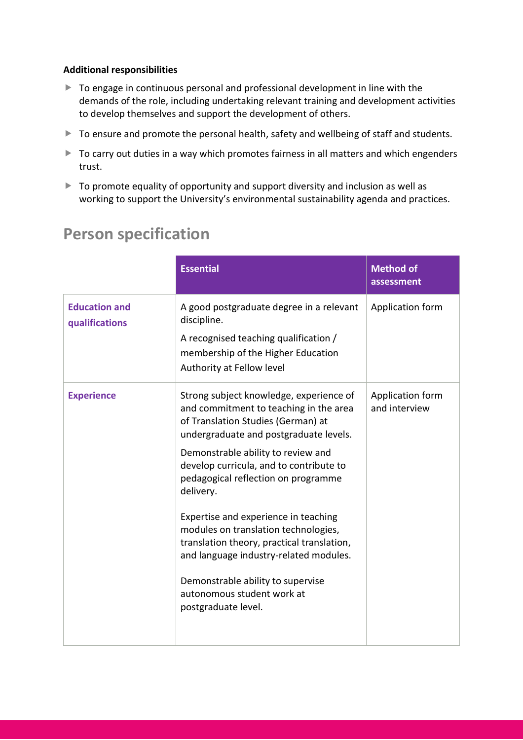# **Additional responsibilities**

- ▶ To engage in continuous personal and professional development in line with the demands of the role, including undertaking relevant training and development activities to develop themselves and support the development of others.
- ▶ To ensure and promote the personal health, safety and wellbeing of staff and students.
- ▶ To carry out duties in a way which promotes fairness in all matters and which engenders trust.
- ▶ To promote equality of opportunity and support diversity and inclusion as well as working to support the University's environmental sustainability agenda and practices.

|                                        | <b>Essential</b>                                                                                                                                                                                                                                                                                                                                                                                                                                                                                                                                                         | <b>Method of</b><br>assessment    |
|----------------------------------------|--------------------------------------------------------------------------------------------------------------------------------------------------------------------------------------------------------------------------------------------------------------------------------------------------------------------------------------------------------------------------------------------------------------------------------------------------------------------------------------------------------------------------------------------------------------------------|-----------------------------------|
| <b>Education and</b><br>qualifications | A good postgraduate degree in a relevant<br>discipline.<br>A recognised teaching qualification /<br>membership of the Higher Education<br>Authority at Fellow level                                                                                                                                                                                                                                                                                                                                                                                                      | Application form                  |
| <b>Experience</b>                      | Strong subject knowledge, experience of<br>and commitment to teaching in the area<br>of Translation Studies (German) at<br>undergraduate and postgraduate levels.<br>Demonstrable ability to review and<br>develop curricula, and to contribute to<br>pedagogical reflection on programme<br>delivery.<br>Expertise and experience in teaching<br>modules on translation technologies,<br>translation theory, practical translation,<br>and language industry-related modules.<br>Demonstrable ability to supervise<br>autonomous student work at<br>postgraduate level. | Application form<br>and interview |

# **Person specification**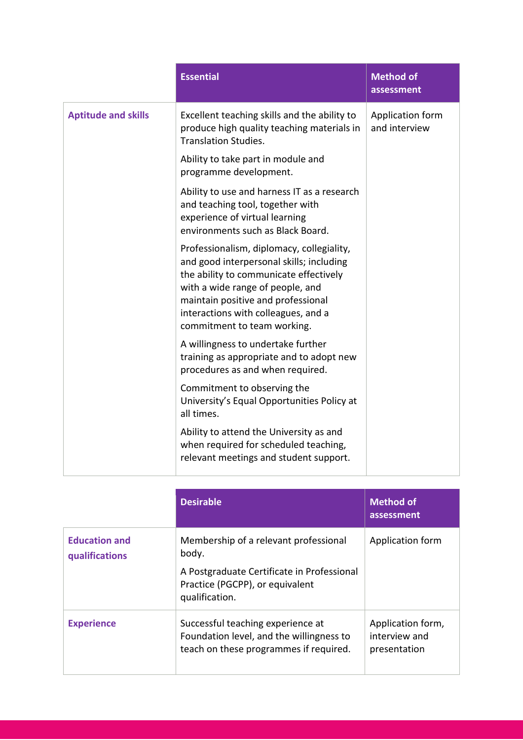|                            | <b>Essential</b>                                                                                                                                                                                                                                                                | <b>Method of</b><br>assessment    |
|----------------------------|---------------------------------------------------------------------------------------------------------------------------------------------------------------------------------------------------------------------------------------------------------------------------------|-----------------------------------|
| <b>Aptitude and skills</b> | Excellent teaching skills and the ability to<br>produce high quality teaching materials in<br><b>Translation Studies.</b>                                                                                                                                                       | Application form<br>and interview |
|                            | Ability to take part in module and<br>programme development.                                                                                                                                                                                                                    |                                   |
|                            | Ability to use and harness IT as a research<br>and teaching tool, together with<br>experience of virtual learning<br>environments such as Black Board.                                                                                                                          |                                   |
|                            | Professionalism, diplomacy, collegiality,<br>and good interpersonal skills; including<br>the ability to communicate effectively<br>with a wide range of people, and<br>maintain positive and professional<br>interactions with colleagues, and a<br>commitment to team working. |                                   |
|                            | A willingness to undertake further<br>training as appropriate and to adopt new<br>procedures as and when required.                                                                                                                                                              |                                   |
|                            | Commitment to observing the<br>University's Equal Opportunities Policy at<br>all times.                                                                                                                                                                                         |                                   |
|                            | Ability to attend the University as and<br>when required for scheduled teaching,<br>relevant meetings and student support.                                                                                                                                                      |                                   |

|                                        | <b>Desirable</b>                                                                                                        | <b>Method of</b><br>assessment                     |
|----------------------------------------|-------------------------------------------------------------------------------------------------------------------------|----------------------------------------------------|
| <b>Education and</b><br>qualifications | Membership of a relevant professional<br>body.                                                                          | Application form                                   |
|                                        | A Postgraduate Certificate in Professional<br>Practice (PGCPP), or equivalent<br>qualification.                         |                                                    |
| <b>Experience</b>                      | Successful teaching experience at<br>Foundation level, and the willingness to<br>teach on these programmes if required. | Application form,<br>interview and<br>presentation |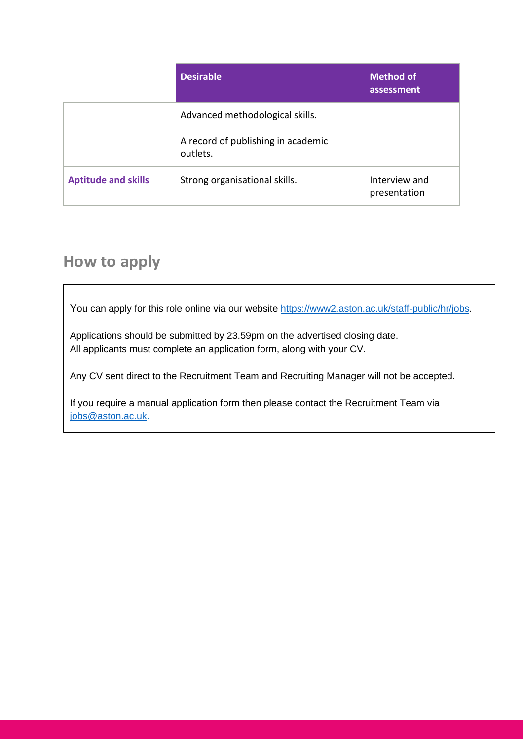|                            | <b>Desirable</b>                                                                  | <b>Method of</b><br>assessment |
|----------------------------|-----------------------------------------------------------------------------------|--------------------------------|
|                            | Advanced methodological skills.<br>A record of publishing in academic<br>outlets. |                                |
| <b>Aptitude and skills</b> | Strong organisational skills.                                                     | Interview and<br>presentation  |

# **How to apply**

You can apply for this role online via our website [https://www2.aston.ac.uk/staff-public/hr/jobs.](https://www2.aston.ac.uk/staff-public/hr/jobs)

Applications should be submitted by 23.59pm on the advertised closing date. All applicants must complete an application form, along with your CV.

Any CV sent direct to the Recruitment Team and Recruiting Manager will not be accepted.

If you require a manual application form then please contact the Recruitment Team via [jobs@aston.ac.uk.](mailto:jobs@aston.ac.uk)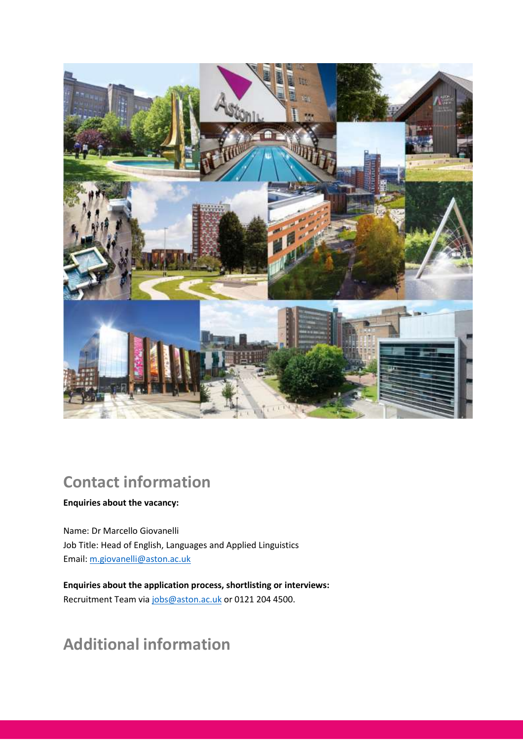

# **Contact information**

# **Enquiries about the vacancy:**

Name: Dr Marcello Giovanelli Job Title: Head of English, Languages and Applied Linguistics Email: [m.giovanelli@aston.ac.uk](mailto:m.giovanelli@aston.ac.uk)

**Enquiries about the application process, shortlisting or interviews:** Recruitment Team via [jobs@aston.ac.uk](mailto:jobs@aston.ac.uk) or 0121 204 4500.

# **Additional information**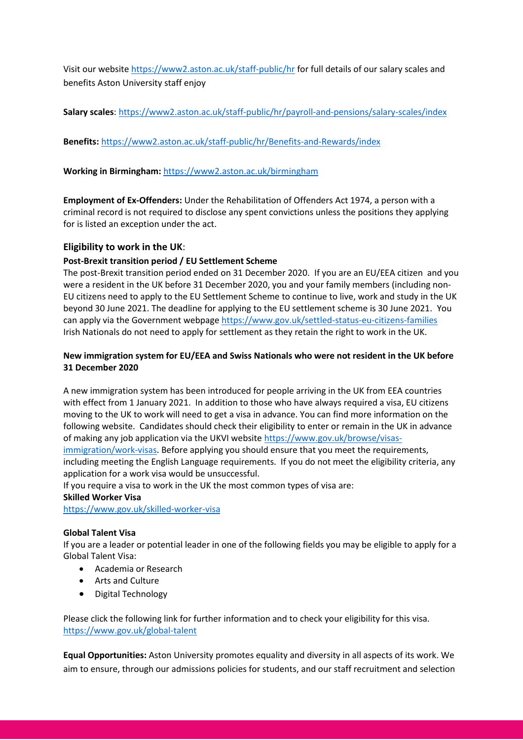Visit our website<https://www2.aston.ac.uk/staff-public/hr> for full details of our salary scales and benefits Aston University staff enjoy

**Salary scales**:<https://www2.aston.ac.uk/staff-public/hr/payroll-and-pensions/salary-scales/index>

**Benefits:** <https://www2.aston.ac.uk/staff-public/hr/Benefits-and-Rewards/index>

**Working in Birmingham:** <https://www2.aston.ac.uk/birmingham>

**Employment of Ex-Offenders:** Under the Rehabilitation of Offenders Act 1974, a person with a criminal record is not required to disclose any spent convictions unless the positions they applying for is listed an exception under the act.

# **Eligibility to work in the UK**:

### **Post-Brexit transition period / EU Settlement Scheme**

The post-Brexit transition period ended on 31 December 2020. If you are an EU/EEA citizen and you were a resident in the UK before 31 December 2020, you and your family members (including non-EU citizens need to apply to the EU Settlement Scheme to continue to live, work and study in the UK beyond 30 June 2021. The deadline for applying to the EU settlement scheme is 30 June 2021. You can apply via the Government webpage<https://www.gov.uk/settled-status-eu-citizens-families> Irish Nationals do not need to apply for settlement as they retain the right to work in the UK.

### **New immigration system for EU/EEA and Swiss Nationals who were not resident in the UK before 31 December 2020**

A new immigration system has been introduced for people arriving in the UK from EEA countries with effect from 1 January 2021. In addition to those who have always required a visa, EU citizens moving to the UK to work will need to get a visa in advance. You can find more information on the following website. Candidates should check their eligibility to enter or remain in the UK in advance of making any job application via the UKVI websit[e https://www.gov.uk/browse/visas-](https://www.gov.uk/browse/visas-immigration/work-visas)

[immigration/work-visas.](https://www.gov.uk/browse/visas-immigration/work-visas) Before applying you should ensure that you meet the requirements, including meeting the English Language requirements. If you do not meet the eligibility criteria, any application for a work visa would be unsuccessful.

If you require a visa to work in the UK the most common types of visa are:

### **Skilled Worker Visa**

<https://www.gov.uk/skilled-worker-visa>

# **Global Talent Visa**

If you are a leader or potential leader in one of the following fields you may be eligible to apply for a Global Talent Visa:

- Academia or Research
- Arts and Culture
- Digital Technology

Please click the following link for further information and to check your eligibility for this visa. <https://www.gov.uk/global-talent>

**Equal Opportunities:** Aston University promotes equality and diversity in all aspects of its work. We aim to ensure, through our admissions policies for students, and our staff recruitment and selection